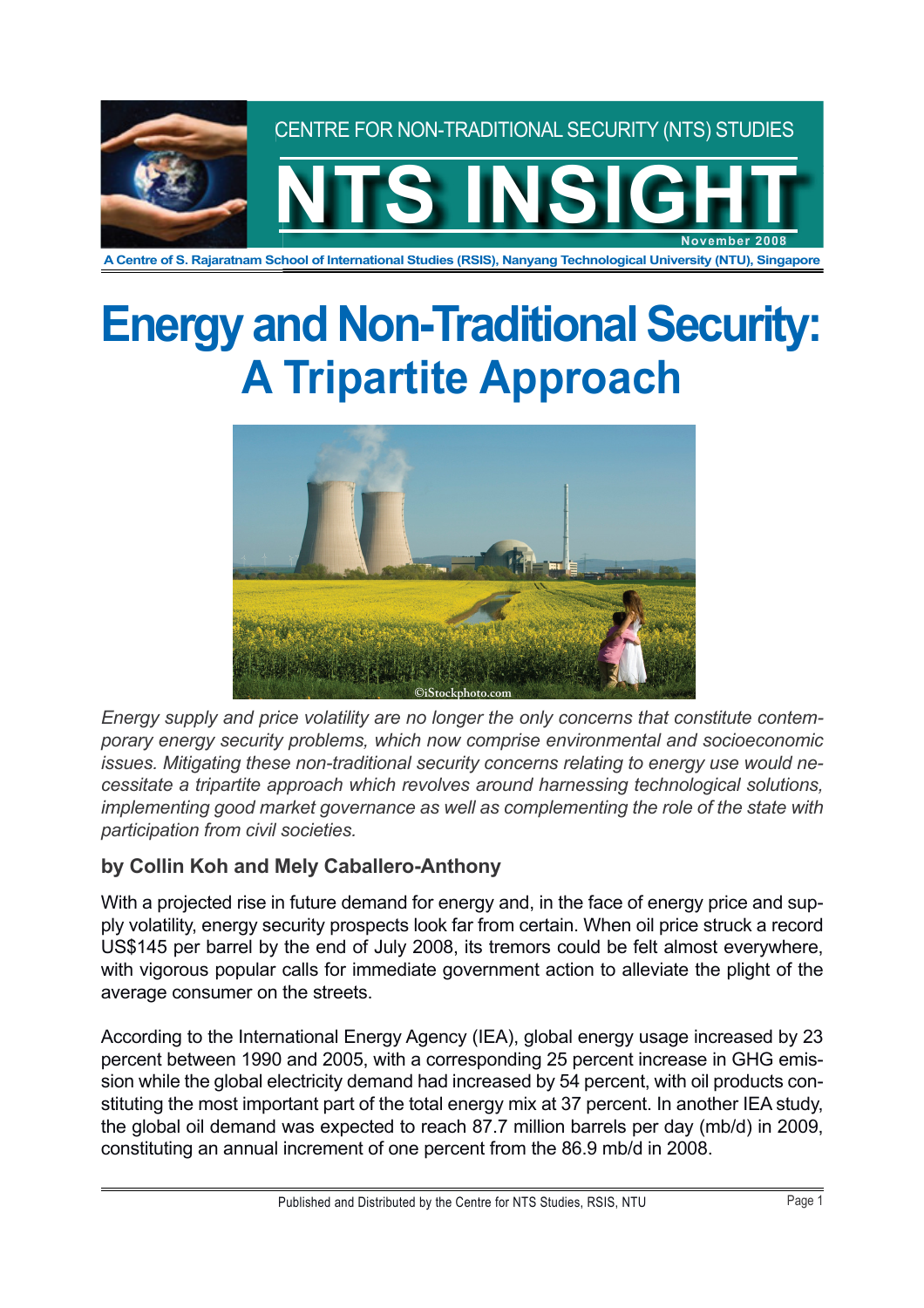

**A Centre of S. Rajaratnam School of International Studies (RSIS), Nanyang Technological University (NTU), Singapore**

# **Energy and Non-Traditional Security: A Tripartite Approach**



*Energy supply and price volatility are no longer the only concerns that constitute contemporary energy security problems, which now comprise environmental and socioeconomic issues. Mitigating these non-traditional security concerns relating to energy use would necessitate a tripartite approach which revolves around harnessing technological solutions, implementing good market governance as well as complementing the role of the state with participation from civil societies.*

## **by Collin Koh and Mely Caballero-Anthony**

With a projected rise in future demand for energy and, in the face of energy price and supply volatility, energy security prospects look far from certain. When oil price struck a record US\$145 per barrel by the end of July 2008, its tremors could be felt almost everywhere, with vigorous popular calls for immediate government action to alleviate the plight of the average consumer on the streets.

According to the International Energy Agency (IEA), global energy usage increased by 23 percent between 1990 and 2005, with a corresponding 25 percent increase in GHG emission while the global electricity demand had increased by 54 percent, with oil products constituting the most important part of the total energy mix at 37 percent. In another IEA study, the global oil demand was expected to reach 87.7 million barrels per day (mb/d) in 2009, constituting an annual increment of one percent from the 86.9 mb/d in 2008.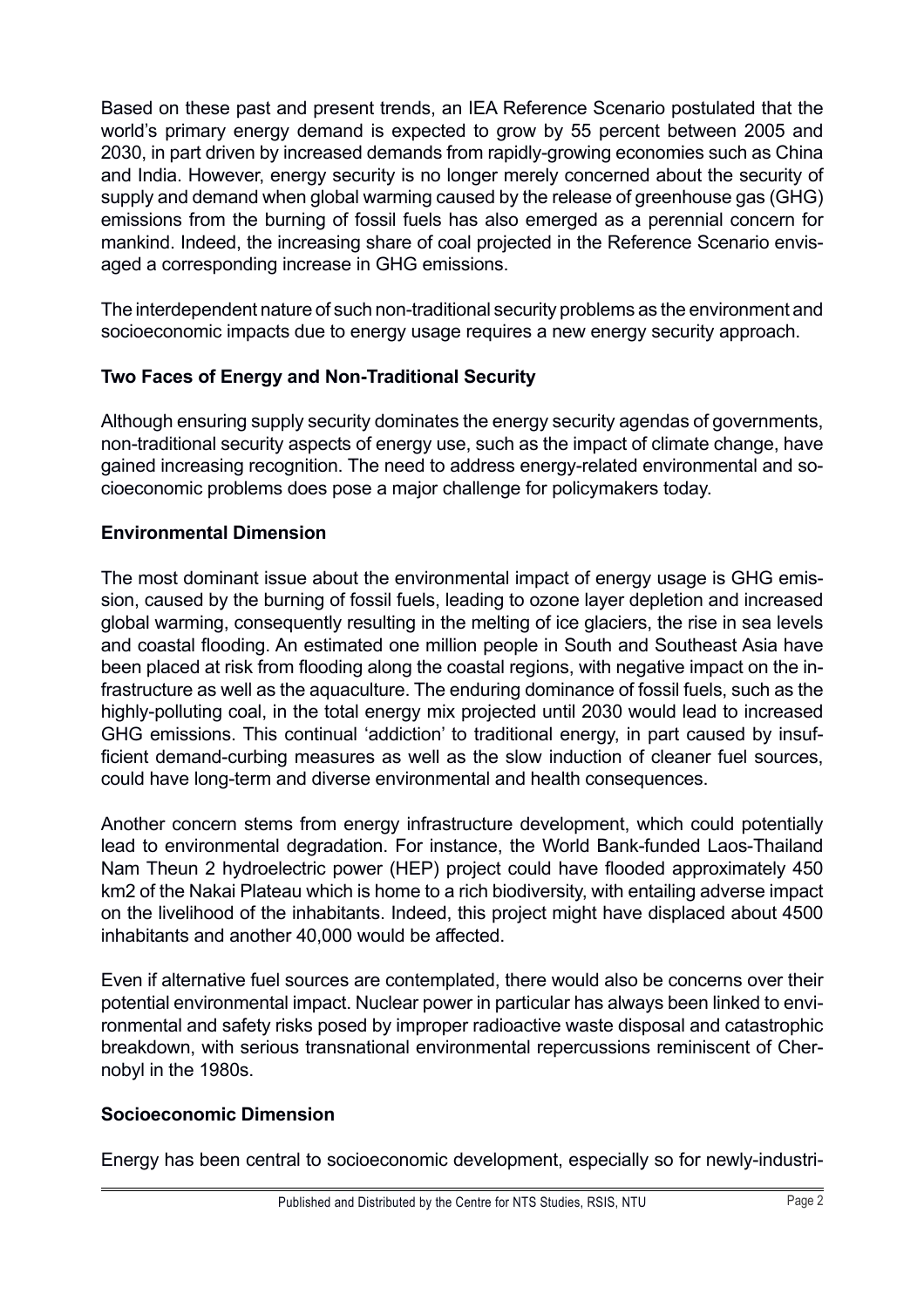Based on these past and present trends, an IEA Reference Scenario postulated that the world's primary energy demand is expected to grow by 55 percent between 2005 and 2030, in part driven by increased demands from rapidly-growing economies such as China and India. However, energy security is no longer merely concerned about the security of supply and demand when global warming caused by the release of greenhouse gas (GHG) emissions from the burning of fossil fuels has also emerged as a perennial concern for mankind. Indeed, the increasing share of coal projected in the Reference Scenario envisaged a corresponding increase in GHG emissions.

The interdependent nature of such non-traditional security problems as the environment and socioeconomic impacts due to energy usage requires a new energy security approach.

#### **Two Faces of Energy and Non-Traditional Security**

Although ensuring supply security dominates the energy security agendas of governments, non-traditional security aspects of energy use, such as the impact of climate change, have gained increasing recognition. The need to address energy-related environmental and socioeconomic problems does pose a major challenge for policymakers today.

#### **Environmental Dimension**

The most dominant issue about the environmental impact of energy usage is GHG emission, caused by the burning of fossil fuels, leading to ozone layer depletion and increased global warming, consequently resulting in the melting of ice glaciers, the rise in sea levels and coastal flooding. An estimated one million people in South and Southeast Asia have been placed at risk from flooding along the coastal regions, with negative impact on the infrastructure as well as the aquaculture. The enduring dominance of fossil fuels, such as the highly-polluting coal, in the total energy mix projected until 2030 would lead to increased GHG emissions. This continual 'addiction' to traditional energy, in part caused by insufficient demand-curbing measures as well as the slow induction of cleaner fuel sources. could have long-term and diverse environmental and health consequences.

Another concern stems from energy infrastructure development, which could potentially lead to environmental degradation. For instance, the World Bank-funded Laos-Thailand Nam Theun 2 hydroelectric power (HEP) project could have flooded approximately 450 km2 of the Nakai Plateau which is home to a rich biodiversity, with entailing adverse impact on the livelihood of the inhabitants. Indeed, this project might have displaced about 4500 inhabitants and another 40,000 would be affected.

Even if alternative fuel sources are contemplated, there would also be concerns over their potential environmental impact. Nuclear power in particular has always been linked to environmental and safety risks posed by improper radioactive waste disposal and catastrophic breakdown, with serious transnational environmental repercussions reminiscent of Chernobyl in the 1980s.

#### **Socioeconomic Dimension**

Energy has been central to socioeconomic development, especially so for newly-industri-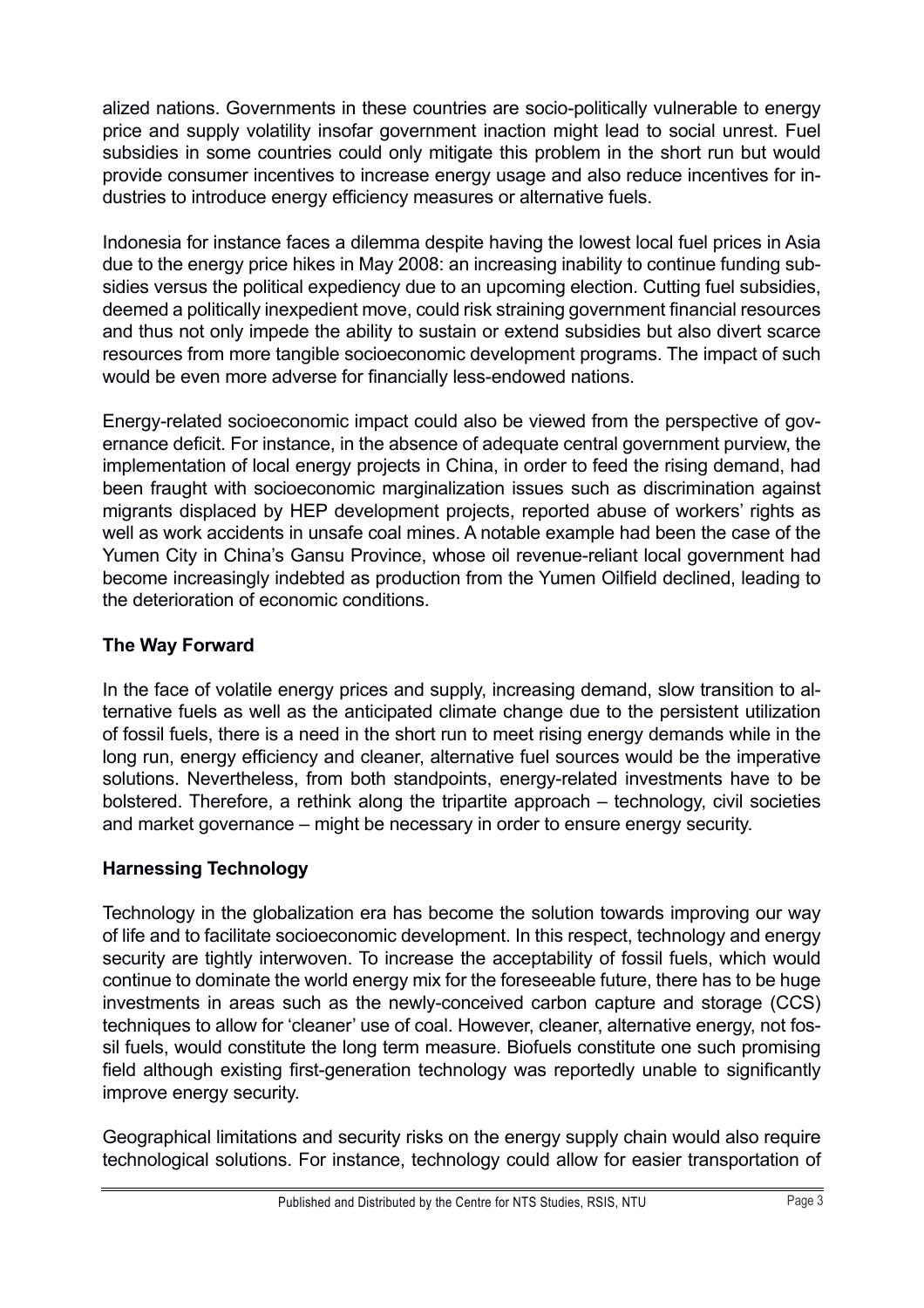alized nations. Governments in these countries are socio-politically vulnerable to energy price and supply volatility insofar government inaction might lead to social unrest. Fuel subsidies in some countries could only mitigate this problem in the short run but would provide consumer incentives to increase energy usage and also reduce incentives for industries to introduce energy efficiency measures or alternative fuels.

Indonesia for instance faces a dilemma despite having the lowest local fuel prices in Asia due to the energy price hikes in May 2008: an increasing inability to continue funding subsidies versus the political expediency due to an upcoming election. Cutting fuel subsidies, deemed a politically inexpedient move, could risk straining government financial resources and thus not only impede the ability to sustain or extend subsidies but also divert scarce resources from more tangible socioeconomic development programs. The impact of such would be even more adverse for financially less-endowed nations.

Energy-related socioeconomic impact could also be viewed from the perspective of governance deficit. For instance, in the absence of adequate central government purview, the implementation of local energy projects in China, in order to feed the rising demand, had been fraught with socioeconomic marginalization issues such as discrimination against migrants displaced by HEP development projects, reported abuse of workers' rights as well as work accidents in unsafe coal mines. A notable example had been the case of the Yumen City in China's Gansu Province, whose oil revenue-reliant local government had become increasingly indebted as production from the Yumen Oilfield declined, leading to the deterioration of economic conditions.

## **The Way Forward**

In the face of volatile energy prices and supply, increasing demand, slow transition to alternative fuels as well as the anticipated climate change due to the persistent utilization of fossil fuels, there is a need in the short run to meet rising energy demands while in the long run, energy efficiency and cleaner, alternative fuel sources would be the imperative solutions. Nevertheless, from both standpoints, energy-related investments have to be bolstered. Therefore, a rethink along the tripartite approach – technology, civil societies and market governance – might be necessary in order to ensure energy security.

## **Harnessing Technology**

Technology in the globalization era has become the solution towards improving our way of life and to facilitate socioeconomic development. In this respect, technology and energy security are tightly interwoven. To increase the acceptability of fossil fuels, which would continue to dominate the world energy mix for the foreseeable future, there has to be huge investments in areas such as the newly-conceived carbon capture and storage (CCS) techniques to allow for 'cleaner' use of coal. However, cleaner, alternative energy, not fossil fuels, would constitute the long term measure. Biofuels constitute one such promising field although existing first-generation technology was reportedly unable to significantly improve energy security.

Geographical limitations and security risks on the energy supply chain would also require technological solutions. For instance, technology could allow for easier transportation of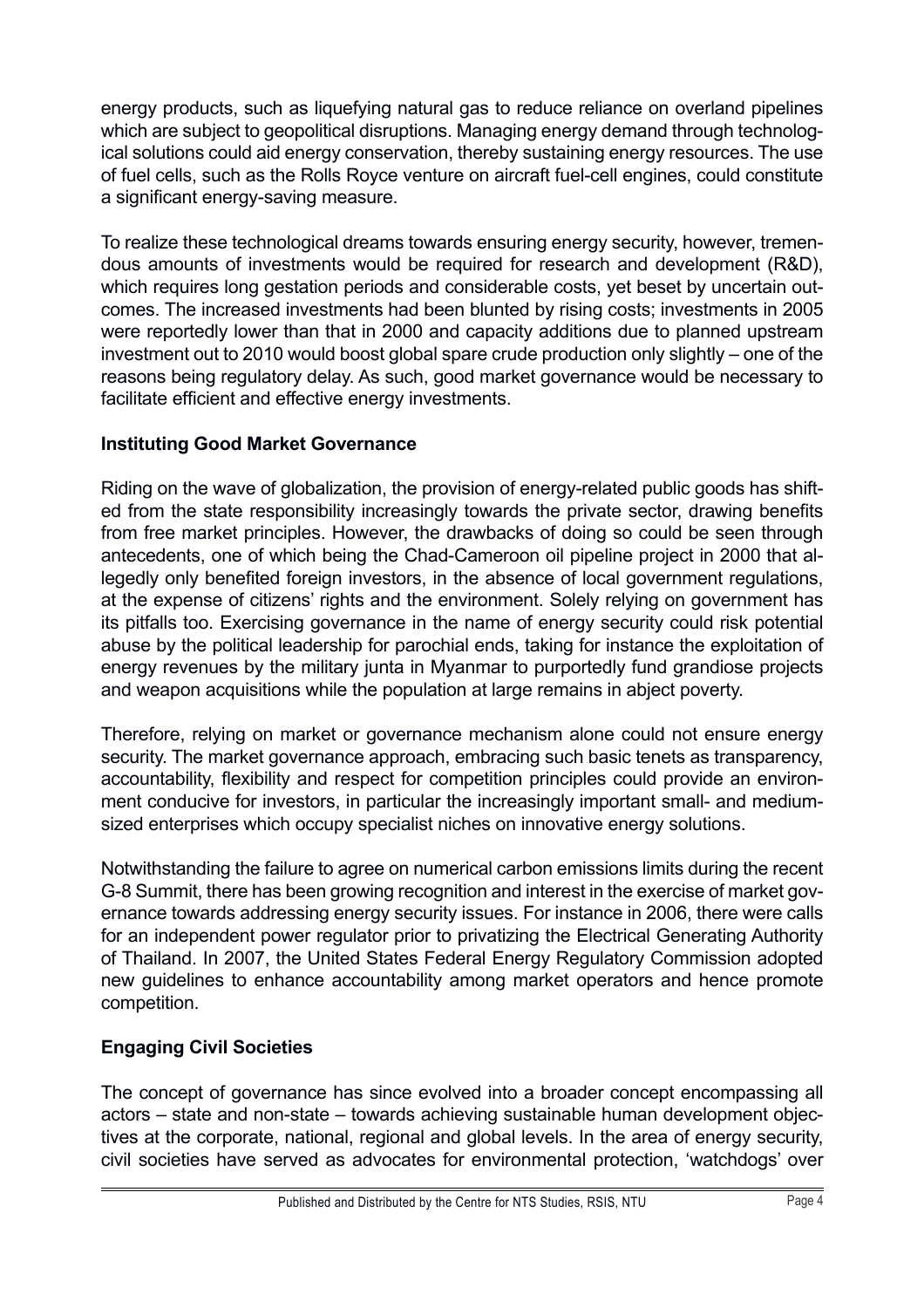energy products, such as liquefying natural gas to reduce reliance on overland pipelines which are subject to geopolitical disruptions. Managing energy demand through technological solutions could aid energy conservation, thereby sustaining energy resources. The use of fuel cells, such as the Rolls Royce venture on aircraft fuel-cell engines, could constitute a significant energy-saving measure.

To realize these technological dreams towards ensuring energy security, however, tremendous amounts of investments would be required for research and development (R&D), which requires long gestation periods and considerable costs, yet beset by uncertain outcomes. The increased investments had been blunted by rising costs; investments in 2005 were reportedly lower than that in 2000 and capacity additions due to planned upstream investment out to 2010 would boost global spare crude production only slightly – one of the reasons being regulatory delay. As such, good market governance would be necessary to facilitate efficient and effective energy investments.

## **Instituting Good Market Governance**

Riding on the wave of globalization, the provision of energy-related public goods has shifted from the state responsibility increasingly towards the private sector, drawing benefits from free market principles. However, the drawbacks of doing so could be seen through antecedents, one of which being the Chad-Cameroon oil pipeline project in 2000 that allegedly only benefited foreign investors, in the absence of local government regulations, at the expense of citizens' rights and the environment. Solely relying on government has its pitfalls too. Exercising governance in the name of energy security could risk potential abuse by the political leadership for parochial ends, taking for instance the exploitation of energy revenues by the military junta in Myanmar to purportedly fund grandiose projects and weapon acquisitions while the population at large remains in abject poverty.

Therefore, relying on market or governance mechanism alone could not ensure energy security. The market governance approach, embracing such basic tenets as transparency. accountability, flexibility and respect for competition principles could provide an environment conducive for investors, in particular the increasingly important small- and mediumsized enterprises which occupy specialist niches on innovative energy solutions.

Notwithstanding the failure to agree on numerical carbon emissions limits during the recent G-8 Summit, there has been growing recognition and interest in the exercise of market governance towards addressing energy security issues. For instance in 2006, there were calls for an independent power regulator prior to privatizing the Electrical Generating Authority of Thailand. In 2007, the United States Federal Energy Regulatory Commission adopted new guidelines to enhance accountability among market operators and hence promote competition.

## **Engaging Civil Societies**

The concept of governance has since evolved into a broader concept encompassing all actors – state and non-state – towards achieving sustainable human development objectives at the corporate, national, regional and global levels. In the area of energy security, civil societies have served as advocates for environmental protection, 'watchdogs' over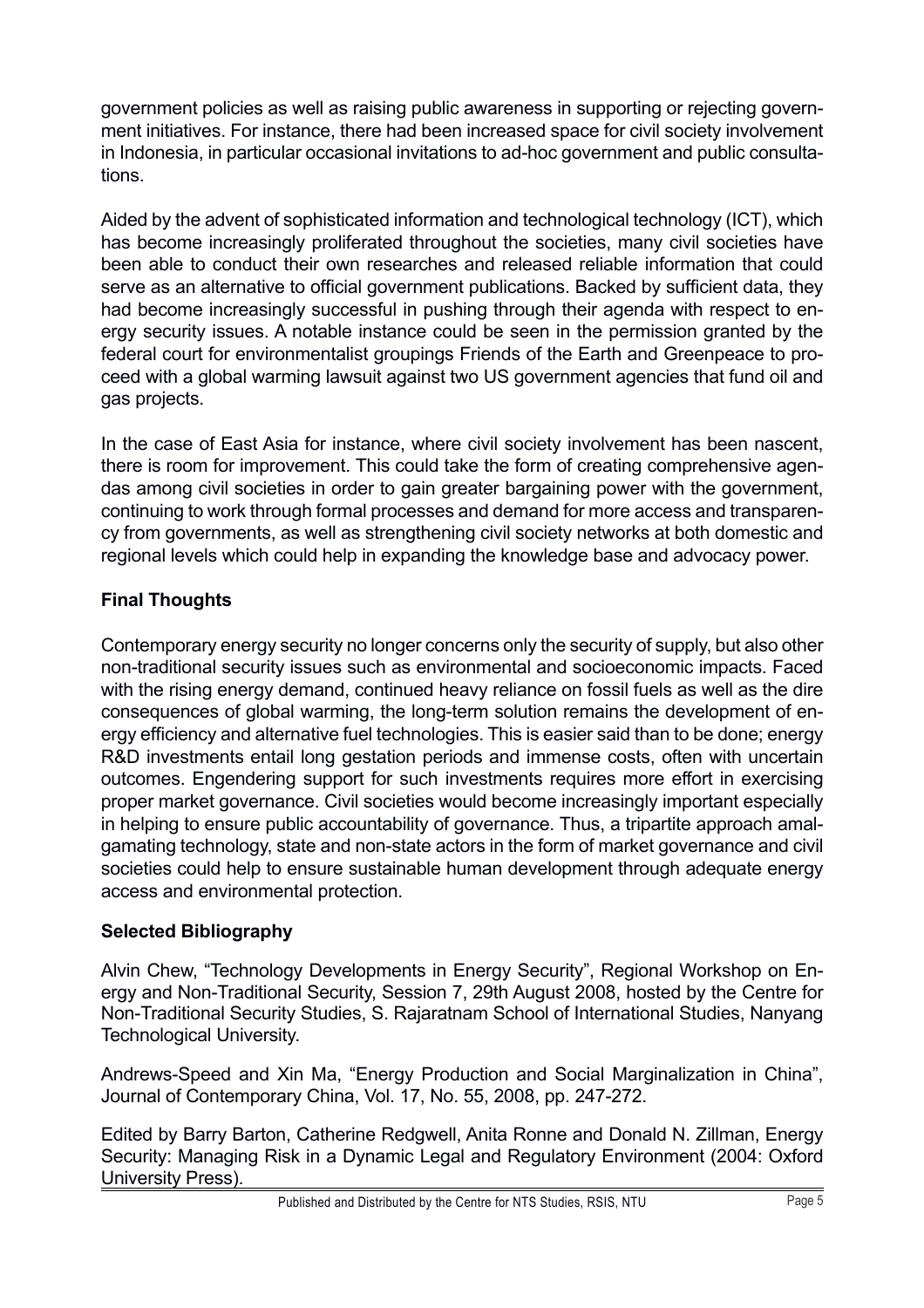government policies as well as raising public awareness in supporting or rejecting government initiatives. For instance, there had been increased space for civil society involvement in Indonesia, in particular occasional invitations to ad-hoc government and public consultations.

Aided by the advent of sophisticated information and technological technology (ICT), which has become increasingly proliferated throughout the societies, many civil societies have been able to conduct their own researches and released reliable information that could serve as an alternative to official government publications. Backed by sufficient data, they had become increasingly successful in pushing through their agenda with respect to energy security issues. A notable instance could be seen in the permission granted by the federal court for environmentalist groupings Friends of the Earth and Greenpeace to proceed with a global warming lawsuit against two US government agencies that fund oil and gas projects.

In the case of East Asia for instance, where civil society involvement has been nascent, there is room for improvement. This could take the form of creating comprehensive agendas among civil societies in order to gain greater bargaining power with the government, continuing to work through formal processes and demand for more access and transparency from governments, as well as strengthening civil society networks at both domestic and regional levels which could help in expanding the knowledge base and advocacy power.

## **Final Thoughts**

Contemporary energy security no longer concerns only the security of supply, but also other non-traditional security issues such as environmental and socioeconomic impacts. Faced with the rising energy demand, continued heavy reliance on fossil fuels as well as the dire consequences of global warming, the long-term solution remains the development of energy efficiency and alternative fuel technologies. This is easier said than to be done; energy R&D investments entail long gestation periods and immense costs, often with uncertain outcomes. Engendering support for such investments requires more effort in exercising proper market governance. Civil societies would become increasingly important especially in helping to ensure public accountability of governance. Thus, a tripartite approach amalgamating technology, state and non-state actors in the form of market governance and civil societies could help to ensure sustainable human development through adequate energy access and environmental protection.

## **Selected Bibliography**

Alvin Chew, "Technology Developments in Energy Security", Regional Workshop on Energy and Non-Traditional Security, Session 7, 29th August 2008, hosted by the Centre for Non-Traditional Security Studies, S. Rajaratnam School of International Studies, Nanyang Technological University.

Andrews-Speed and Xin Ma, "Energy Production and Social Marginalization in China", Journal of Contemporary China, Vol. 17, No. 55, 2008, pp. 247-272.

Edited by Barry Barton, Catherine Redgwell, Anita Ronne and Donald N. Zillman, Energy Security: Managing Risk in a Dynamic Legal and Regulatory Environment (2004: Oxford University Press).